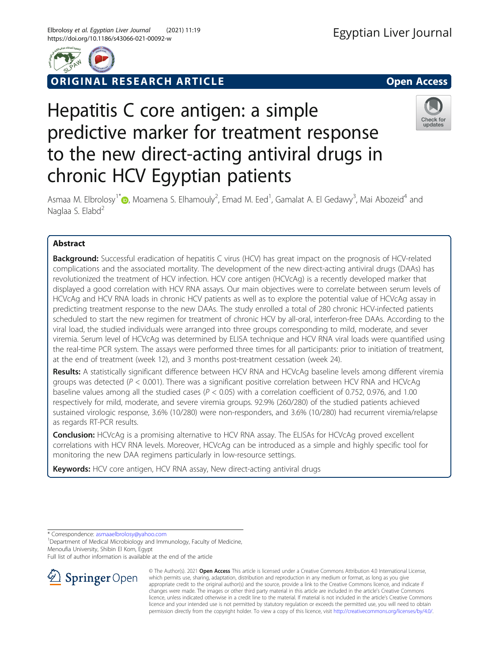



**RIGINAL RESEARCH ARTICLE CONSUMING ACCESS** 

# Hepatitis C core antigen: a simple predictive marker for treatment response to the new direct-acting antiviral drugs in chronic HCV Egyptian patients



Asmaa M. Elbrolosy<sup>1\*</sup> $\bullet$ , Moamena S. Elhamouly<sup>2</sup>, Emad M. Eed<sup>1</sup>, Gamalat A. El Gedawy<sup>3</sup>, Mai Abozeid<sup>4</sup> and Naglaa S. Elabd<sup>2</sup>

# Abstract

Background: Successful eradication of hepatitis C virus (HCV) has great impact on the prognosis of HCV-related complications and the associated mortality. The development of the new direct-acting antiviral drugs (DAAs) has revolutionized the treatment of HCV infection. HCV core antigen (HCVcAg) is a recently developed marker that displayed a good correlation with HCV RNA assays. Our main objectives were to correlate between serum levels of HCVcAg and HCV RNA loads in chronic HCV patients as well as to explore the potential value of HCVcAg assay in predicting treatment response to the new DAAs. The study enrolled a total of 280 chronic HCV-infected patients scheduled to start the new regimen for treatment of chronic HCV by all-oral, interferon-free DAAs. According to the viral load, the studied individuals were arranged into three groups corresponding to mild, moderate, and sever viremia. Serum level of HCVcAg was determined by ELISA technique and HCV RNA viral loads were quantified using the real-time PCR system. The assays were performed three times for all participants: prior to initiation of treatment, at the end of treatment (week 12), and 3 months post-treatment cessation (week 24).

Results: A statistically significant difference between HCV RNA and HCVcAg baseline levels among different viremia groups was detected ( $P < 0.001$ ). There was a significant positive correlation between HCV RNA and HCVcAg baseline values among all the studied cases ( $P < 0.05$ ) with a correlation coefficient of 0.752, 0.976, and 1.00 respectively for mild, moderate, and severe viremia groups. 92.9% (260/280) of the studied patients achieved sustained virologic response, 3.6% (10/280) were non-responders, and 3.6% (10/280) had recurrent viremia/relapse as regards RT-PCR results.

**Conclusion:** HCVcAg is a promising alternative to HCV RNA assay. The ELISAs for HCVcAg proved excellent correlations with HCV RNA levels. Moreover, HCVcAg can be introduced as a simple and highly specific tool for monitoring the new DAA regimens particularly in low-resource settings.

Keywords: HCV core antigen, HCV RNA assay, New direct-acting antiviral drugs

\* Correspondence: [asmaaelbrolosy@yahoo.com](mailto:asmaaelbrolosy@yahoo.com) <sup>1</sup>

<sup>1</sup> Department of Medical Microbiology and Immunology, Faculty of Medicine, Menoufia University, Shibin El Kom, Egypt

Full list of author information is available at the end of the article



© The Author(s). 2021 Open Access This article is licensed under a Creative Commons Attribution 4.0 International License, which permits use, sharing, adaptation, distribution and reproduction in any medium or format, as long as you give appropriate credit to the original author(s) and the source, provide a link to the Creative Commons licence, and indicate if changes were made. The images or other third party material in this article are included in the article's Creative Commons licence, unless indicated otherwise in a credit line to the material. If material is not included in the article's Creative Commons licence and your intended use is not permitted by statutory regulation or exceeds the permitted use, you will need to obtain permission directly from the copyright holder. To view a copy of this licence, visit <http://creativecommons.org/licenses/by/4.0/>.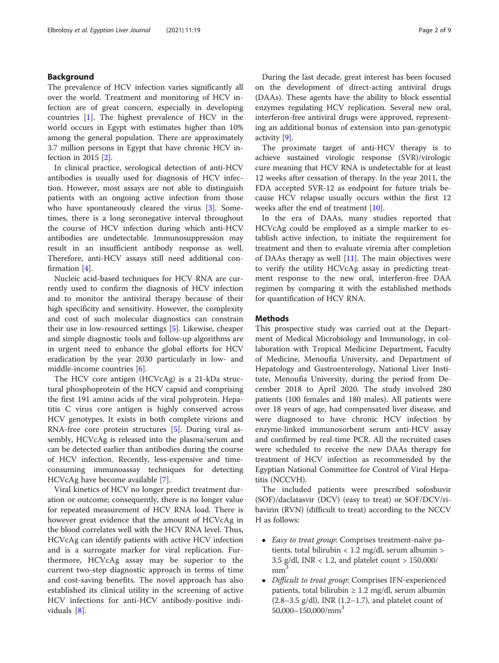## Background

The prevalence of HCV infection varies significantly all over the world. Treatment and monitoring of HCV infection are of great concern, especially in developing countries [\[1](#page-8-0)]. The highest prevalence of HCV in the world occurs in Egypt with estimates higher than 10% among the general population. There are approximately 3.7 million persons in Egypt that have chronic HCV infection in 2015 [\[2](#page-8-0)].

In clinical practice, serological detection of anti-HCV antibodies is usually used for diagnosis of HCV infection. However, most assays are not able to distinguish patients with an ongoing active infection from those who have spontaneously cleared the virus [[3](#page-8-0)]. Sometimes, there is a long seronegative interval throughout the course of HCV infection during which anti-HCV antibodies are undetectable. Immunosuppression may result in an insufficient antibody response as well. Therefore, anti-HCV assays still need additional confirmation [[4\]](#page-8-0).

Nucleic acid-based techniques for HCV RNA are currently used to confirm the diagnosis of HCV infection and to monitor the antiviral therapy because of their high specificity and sensitivity. However, the complexity and cost of such molecular diagnostics can constrain their use in low-resourced settings [\[5](#page-8-0)]. Likewise, cheaper and simple diagnostic tools and follow-up algorithms are in urgent need to enhance the global efforts for HCV eradication by the year 2030 particularly in low- and middle-income countries [\[6](#page-8-0)].

The HCV core antigen (HCVcAg) is a 21-kDa structural phosphoprotein of the HCV capsid and comprising the first 191 amino acids of the viral polyprotein. Hepatitis C virus core antigen is highly conserved across HCV genotypes. It exists in both complete virions and RNA-free core protein structures [\[5\]](#page-8-0). During viral assembly, HCVcAg is released into the plasma/serum and can be detected earlier than antibodies during the course of HCV infection. Recently, less-expensive and timeconsuming immunoassay techniques for detecting HCVcAg have become available [[7\]](#page-8-0).

Viral kinetics of HCV no longer predict treatment duration or outcome; consequently, there is no longer value for repeated measurement of HCV RNA load. There is however great evidence that the amount of HCVcAg in the blood correlates well with the HCV RNA level. Thus, HCVcAg can identify patients with active HCV infection and is a surrogate marker for viral replication. Furthermore, HCVcAg assay may be superior to the current two-step diagnostic approach in terms of time and cost-saving benefits. The novel approach has also established its clinical utility in the screening of active HCV infections for anti-HCV antibody-positive individuals [[8\]](#page-8-0).

During the last decade, great interest has been focused on the development of direct-acting antiviral drugs (DAAs). These agents have the ability to block essential enzymes regulating HCV replication. Several new oral, interferon-free antiviral drugs were approved, representing an additional bonus of extension into pan-genotypic activity [[9\]](#page-8-0).

The proximate target of anti-HCV therapy is to achieve sustained virologic response (SVR)/virologic cure meaning that HCV RNA is undetectable for at least 12 weeks after cessation of therapy. In the year 2011, the FDA accepted SVR-12 as endpoint for future trials because HCV relapse usually occurs within the first 12 weeks after the end of treatment [\[10](#page-8-0)].

In the era of DAAs, many studies reported that HCVcAg could be employed as a simple marker to establish active infection, to initiate the requirement for treatment and then to evaluate viremia after completion of DAAs therapy as well  $[11]$  $[11]$ . The main objectives were to verify the utility HCVcAg assay in predicting treatment response to the new oral, interferon-free DAA regimen by comparing it with the established methods for quantification of HCV RNA.

## Methods

This prospective study was carried out at the Department of Medical Microbiology and Immunology, in collaboration with Tropical Medicine Department, Faculty of Medicine, Menoufia University, and Department of Hepatology and Gastroenterology, National Liver Institute, Menoufia University, during the period from December 2018 to April 2020. The study involved 280 patients (100 females and 180 males). All patients were over 18 years of age, had compensated liver disease, and were diagnosed to have chronic HCV infection by enzyme-linked immunosorbent serum anti-HCV assay and confirmed by real-time PCR. All the recruited cases were scheduled to receive the new DAAs therapy for treatment of HCV infection as recommended by the Egyptian National Committee for Control of Viral Hepatitis (NCCVH).

The included patients were prescribed sofosbuvir (SOF)/daclatasvir (DCV) (easy to treat) or SOF/DCV/ribavirin (RVN) (difficult to treat) according to the NCCV H as follows:

- Easy to treat group: Comprises treatment-naïve patients, total bilirubin < 1.2 mg/dl, serum albumin > 3.5 g/dl, INR < 1.2, and platelet count > 150,000/  $mm<sup>3</sup>$
- Difficult to treat group: Comprises IFN-experienced patients, total bilirubin  $\geq 1.2$  mg/dl, serum albumin  $(2.8-3.5 \text{ g/dl})$ , INR  $(1.2-1.7)$ , and platelet count of  $50,000-150,000/mm<sup>3</sup>$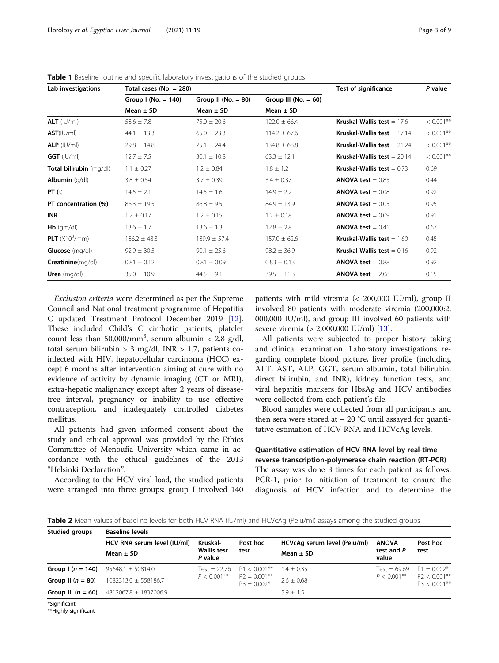| Lab investigations      | Total cases (No. = 280) |                         |                          | <b>Test of significance</b>         | P value      |  |
|-------------------------|-------------------------|-------------------------|--------------------------|-------------------------------------|--------------|--|
|                         | Group I (No. $= 140$ )  | Group II ( $No. = 80$ ) | Group III ( $No. = 60$ ) |                                     |              |  |
|                         | Mean $\pm$ SD           | Mean $\pm$ SD           | Mean $\pm$ SD            |                                     |              |  |
| $ALT$ ( $ U/m $ )       | $58.6 \pm 7.8$          | $75.0 \pm 20.6$         | $122.0 \pm 66.4$         | <b>Kruskal-Wallis test</b> = $17.6$ | $< 0.001$ ** |  |
| AST( U/m )              | $44.1 \pm 13.3$         | $65.0 \pm 23.3$         | $114.2 \pm 67.6$         | Kruskal-Wallis test $= 17.14$       | $< 0.001$ ** |  |
| $ALP$ ( $ U/m $ )       | $29.8 \pm 14.8$         | $75.1 \pm 24.4$         | $134.8 \pm 68.8$         | Kruskal-Wallis test $= 21.24$       | $< 0.001$ ** |  |
| $GGT$ ( $ U/m $ )       | $12.7 \pm 7.5$          | $30.1 \pm 10.8$         | $63.3 \pm 12.1$          | Kruskal-Wallis test $= 20.14$       | $< 0.001$ ** |  |
| Total bilirubin (mg/dl) | $1.1 \pm 0.27$          | $1.2 \pm 0.84$          | $1.8 \pm 1.2$            | Kruskal-Wallis test $= 0.73$        | 0.69         |  |
| Albumin $(q/d)$         | $3.8 \pm 0.54$          | $3.7 \pm 0.39$          | $3.4 \pm 0.37$           | <b>ANOVA test</b> = $0.85$          | 0.44         |  |
| PT(s)                   | $14.5 \pm 2.1$          | $14.5 \pm 1.6$          | $14.9 \pm 2.2$           | <b>ANOVA test</b> = $0.08$          | 0.92         |  |
| PT concentration (%)    | $86.3 \pm 19.5$         | $86.8 \pm 9.5$          | $84.9 \pm 13.9$          | <b>ANOVA test</b> = $0.05$          | 0.95         |  |
| <b>INR</b>              | $1.2 \pm 0.17$          | $1.2 \pm 0.15$          | $1.2 \pm 0.18$           | <b>ANOVA test</b> = $0.09$          | 0.91         |  |
| $Hb$ (gm/dl)            | $13.6 \pm 1.7$          | $13.6 \pm 1.3$          | $12.8 \pm 2.8$           | <b>ANOVA test</b> = $0.41$          | 0.67         |  |
| <b>PLT</b> $(X10^3/mm)$ | $186.2 \pm 48.3$        | $189.9 \pm 57.4$        | $157.0 \pm 62.6$         | <b>Kruskal-Wallis test</b> = $1.60$ | 0.45         |  |
| <b>Glucose</b> (mg/dl)  | $92.9 \pm 30.5$         | $90.1 \pm 25.6$         | $98.2 \pm 36.9$          | <b>Kruskal-Wallis test</b> = $0.16$ | 0.92         |  |
| Creatinine(mg/dl)       | $0.81 \pm 0.12$         | $0.81 \pm 0.09$         | $0.83 \pm 0.13$          | <b>ANOVA test</b> = $0.88$          | 0.92         |  |
| Urea $(mq/d)$           | $35.0 \pm 10.9$         | $44.5 \pm 9.1$          | $39.5 \pm 11.3$          | <b>ANOVA test</b> = $2.08$          | 0.15         |  |

<span id="page-2-0"></span>Table 1 Baseline routine and specific laboratory investigations of the studied groups

Exclusion criteria were determined as per the Supreme Council and National treatment programme of Hepatitis C updated Treatment Protocol December 2019 [\[12](#page-8-0)]. These included Child's C cirrhotic patients, platelet count less than  $50,000/\text{mm}^3$ , serum albumin < 2.8 g/dl, total serum bilirubin  $> 3$  mg/dl, INR  $> 1.7$ , patients coinfected with HIV, hepatocellular carcinoma (HCC) except 6 months after intervention aiming at cure with no evidence of activity by dynamic imaging (CT or MRI), extra-hepatic malignancy except after 2 years of diseasefree interval, pregnancy or inability to use effective contraception, and inadequately controlled diabetes mellitus.

All patients had given informed consent about the study and ethical approval was provided by the Ethics Committee of Menoufia University which came in accordance with the ethical guidelines of the 2013 "Helsinki Declaration".

According to the HCV viral load, the studied patients were arranged into three groups: group I involved 140 patients with mild viremia (< 200,000 IU/ml), group II involved 80 patients with moderate viremia (200,000:2, 000,000 IU/ml), and group III involved 60 patients with severe viremia (> 2,000,000 IU/ml) [\[13\]](#page-8-0).

All patients were subjected to proper history taking and clinical examination. Laboratory investigations regarding complete blood picture, liver profile (including ALT, AST, ALP, GGT, serum albumin, total bilirubin, direct bilirubin, and INR), kidney function tests, and viral hepatitis markers for HbsAg and HCV antibodies were collected from each patient's file.

Blood samples were collected from all participants and then sera were stored at  $-20$  °C until assayed for quantitative estimation of HCV RNA and HCVcAg levels.

## Quantitative estimation of HCV RNA level by real-time reverse transcription-polymerase chain reaction (RT-PCR)

The assay was done 3 times for each patient as follows: PCR-1, prior to initiation of treatment to ensure the diagnosis of HCV infection and to determine the

Table 2 Mean values of baseline levels for both HCV RNA (IU/ml) and HCVcAg (Peiu/ml) assays among the studied groups

| Studied groups       | <b>Baseline levels</b>      |                                       |                                 |                              |                     |                                    |  |  |  |  |
|----------------------|-----------------------------|---------------------------------------|---------------------------------|------------------------------|---------------------|------------------------------------|--|--|--|--|
|                      | HCV RNA serum level (IU/ml) | Kruskal-                              | Post hoc                        | HCVcAq serum level (Peiu/ml) | <b>ANOVA</b>        | Post hoc                           |  |  |  |  |
|                      | Mean $\pm$ SD               | <b>Wallis test</b><br>test<br>P value |                                 | Mean $\pm$ SD                | test and P<br>value | test                               |  |  |  |  |
| Group $(n = 140)$    | $95648.1 \pm 50814.0$       | $Test = 22.76$                        | $P1 < 0.001***$                 | $1.4 + 0.35$                 | $Test = 69.69$      | $P1 = 0.002*$                      |  |  |  |  |
| Group II $(n = 80)$  | 1082313.0 ± 558186.7        | $P < 0.001$ **                        | $P2 = 0.001**$<br>$P3 = 0.002*$ | $2.6 \pm 0.68$               | $P < 0.001$ **      | $P2 < 0.001***$<br>$P3 < 0.001***$ |  |  |  |  |
| Group III $(n = 60)$ | 4812067.8 ± 1837006.9       |                                       |                                 | $5.9 + 1.5$                  |                     |                                    |  |  |  |  |

\*Significant

\*\*Highly significant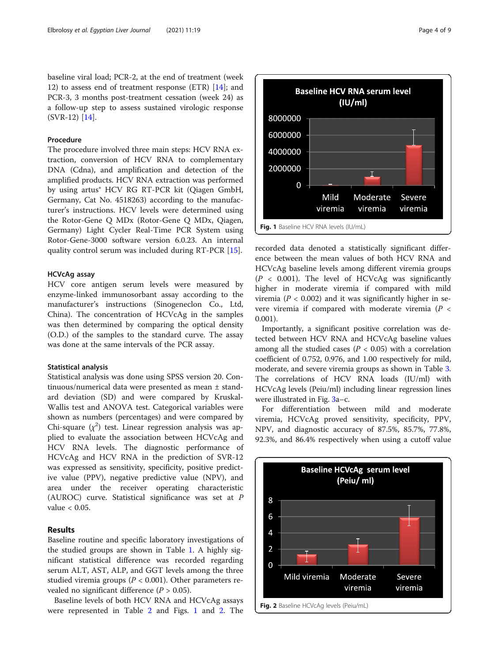baseline viral load; PCR-2, at the end of treatment (week 12) to assess end of treatment response (ETR) [[14\]](#page-8-0); and PCR-3, 3 months post-treatment cessation (week 24) as a follow-up step to assess sustained virologic response (SVR-12) [\[14](#page-8-0)].

#### Procedure

The procedure involved three main steps: HCV RNA extraction, conversion of HCV RNA to complementary DNA (Cdna), and amplification and detection of the amplified products. HCV RNA extraction was performed by using artus® HCV RG RT-PCR kit (Qiagen GmbH, Germany, Cat No. 4518263) according to the manufacturer's instructions. HCV levels were determined using the Rotor-Gene Q MDx (Rotor-Gene Q MDx, Qiagen, Germany) Light Cycler Real-Time PCR System using Rotor-Gene-3000 software version 6.0.23. An internal quality control serum was included during RT-PCR [\[15](#page-8-0)].

## HCVcAg assay

HCV core antigen serum levels were measured by enzyme-linked immunosorbant assay according to the manufacturer's instructions (Sinogeneclon Co., Ltd, China). The concentration of HCVcAg in the samples was then determined by comparing the optical density (O.D.) of the samples to the standard curve. The assay was done at the same intervals of the PCR assay.

#### Statistical analysis

Statistical analysis was done using SPSS version 20. Continuous/numerical data were presented as mean ± standard deviation (SD) and were compared by Kruskal-Wallis test and ANOVA test. Categorical variables were shown as numbers (percentages) and were compared by Chi-square  $(\chi^2)$  test. Linear regression analysis was applied to evaluate the association between HCVcAg and HCV RNA levels. The diagnostic performance of HCVcAg and HCV RNA in the prediction of SVR-12 was expressed as sensitivity, specificity, positive predictive value (PPV), negative predictive value (NPV), and area under the receiver operating characteristic (AUROC) curve. Statistical significance was set at P value < 0.05.

## Results

Baseline routine and specific laboratory investigations of the studied groups are shown in Table [1.](#page-2-0) A highly significant statistical difference was recorded regarding serum ALT, AST, ALP, and GGT levels among the three studied viremia groups ( $P < 0.001$ ). Other parameters revealed no significant difference  $(P > 0.05)$ .

Baseline levels of both HCV RNA and HCVcAg assays were represented in Table [2](#page-2-0) and Figs. 1 and 2. The



recorded data denoted a statistically significant difference between the mean values of both HCV RNA and HCVcAg baseline levels among different viremia groups  $(P < 0.001)$ . The level of HCVcAg was significantly higher in moderate viremia if compared with mild viremia ( $P < 0.002$ ) and it was significantly higher in severe viremia if compared with moderate viremia ( $P <$ 0.001).

Importantly, a significant positive correlation was detected between HCV RNA and HCVcAg baseline values among all the studied cases ( $P < 0.05$ ) with a correlation coefficient of 0.752, 0.976, and 1.00 respectively for mild, moderate, and severe viremia groups as shown in Table [3](#page-4-0). The correlations of HCV RNA loads (IU/ml) with HCVcAg levels (Peiu/ml) including linear regression lines were illustrated in Fig. [3a](#page-4-0)–c.

For differentiation between mild and moderate viremia, HCVcAg proved sensitivity, specificity, PPV, NPV, and diagnostic accuracy of 87.5%, 85.7%, 77.8%, 92.3%, and 86.4% respectively when using a cutoff value

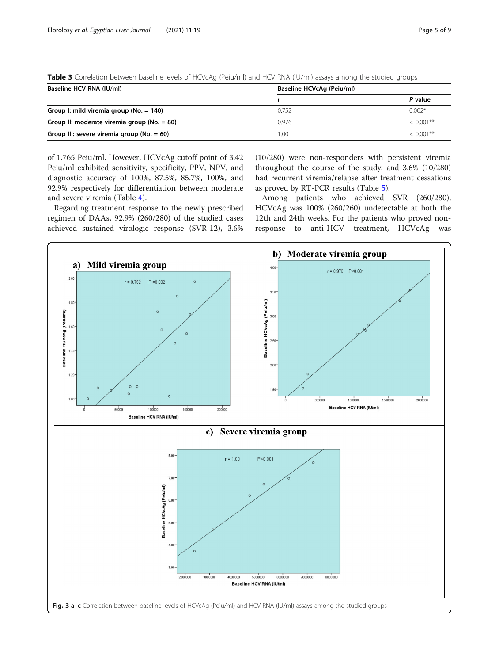| Baseline HCV RNA (IU/ml)                        | Baseline HCVcAq (Peiu/ml) |              |
|-------------------------------------------------|---------------------------|--------------|
|                                                 |                           | P value      |
| Group I: mild viremia group (No. = 140)         | 0.752                     | $0.002*$     |
| Group II: moderate viremia group ( $No. = 80$ ) | 0.976                     | $< 0.001$ ** |
| Group III: severe viremia group ( $No. = 60$ )  | 1.00                      | $< 0.001**$  |

<span id="page-4-0"></span>Table 3 Correlation between baseline levels of HCVcAg (Peiu/ml) and HCV RNA (IU/ml) assays among the studied groups

of 1.765 Peiu/ml. However, HCVcAg cutoff point of 3.42 Peiu/ml exhibited sensitivity, specificity, PPV, NPV, and diagnostic accuracy of 100%, 87.5%, 85.7%, 100%, and 92.9% respectively for differentiation between moderate and severe viremia (Table [4](#page-5-0)).

Regarding treatment response to the newly prescribed regimen of DAAs, 92.9% (260/280) of the studied cases achieved sustained virologic response (SVR-12), 3.6%

(10/280) were non-responders with persistent viremia throughout the course of the study, and 3.6% (10/280) had recurrent viremia/relapse after treatment cessations as proved by RT-PCR results (Table [5](#page-5-0)).

Among patients who achieved SVR (260/280), HCVcAg was 100% (260/260) undetectable at both the 12th and 24th weeks. For the patients who proved nonresponse to anti-HCV treatment, HCVcAg was

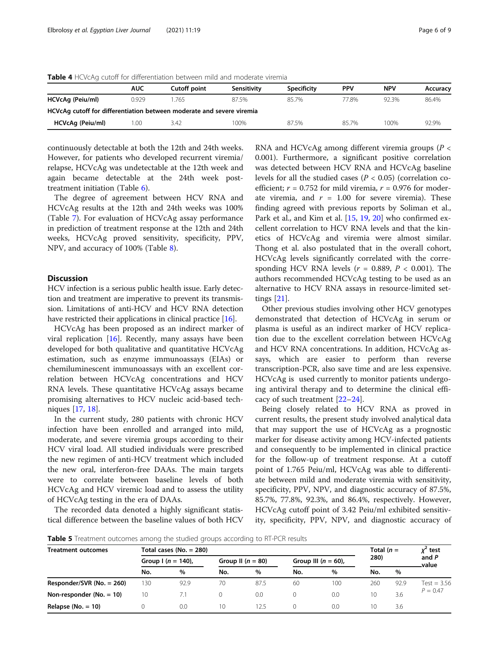|                                                                       | <b>AUC</b> | Cutoff point | Sensitivity | <b>Specificity</b> | <b>PPV</b> | NPV   | Accuracy |
|-----------------------------------------------------------------------|------------|--------------|-------------|--------------------|------------|-------|----------|
| HCVcAg (Peiu/ml)                                                      | 0.929      | .765         | 87.5%       | 857%               | 77.8%      | 92.3% | 86.4%    |
| HCVcAg cutoff for differentiation between moderate and severe viremia |            |              |             |                    |            |       |          |

**HCVcAg (Peiu/ml)** 1.00 3.42 100% 87.5% 85.7% 100% 92.9%

<span id="page-5-0"></span>Table 4 HCVcAg cutoff for differentiation between mild and moderate viremia

continuously detectable at both the 12th and 24th weeks. However, for patients who developed recurrent viremia/ relapse, HCVcAg was undetectable at the 12th week and again became detectable at the 24th week posttreatment initiation (Table [6](#page-6-0)).

The degree of agreement between HCV RNA and HCVcAg results at the 12th and 24th weeks was 100% (Table [7](#page-6-0)). For evaluation of HCVcAg assay performance in prediction of treatment response at the 12th and 24th weeks, HCVcAg proved sensitivity, specificity, PPV, NPV, and accuracy of 100% (Table [8](#page-7-0)).

## **Discussion**

HCV infection is a serious public health issue. Early detection and treatment are imperative to prevent its transmission. Limitations of anti-HCV and HCV RNA detection have restricted their applications in clinical practice [[16\]](#page-8-0).

HCVcAg has been proposed as an indirect marker of viral replication  $[16]$  $[16]$ . Recently, many assays have been developed for both qualitative and quantitative HCVcAg estimation, such as enzyme immunoassays (EIAs) or chemiluminescent immunoassays with an excellent correlation between HCVcAg concentrations and HCV RNA levels. These quantitative HCVcAg assays became promising alternatives to HCV nucleic acid-based techniques [[17](#page-8-0), [18](#page-8-0)].

In the current study, 280 patients with chronic HCV infection have been enrolled and arranged into mild, moderate, and severe viremia groups according to their HCV viral load. All studied individuals were prescribed the new regimen of anti-HCV treatment which included the new oral, interferon-free DAAs. The main targets were to correlate between baseline levels of both HCVcAg and HCV viremic load and to assess the utility of HCVcAg testing in the era of DAAs.

The recorded data denoted a highly significant statistical difference between the baseline values of both HCV RNA and HCVcAg among different viremia groups ( $P \lt \theta$ 0.001). Furthermore, a significant positive correlation was detected between HCV RNA and HCVcAg baseline levels for all the studied cases ( $P < 0.05$ ) (correlation coefficient;  $r = 0.752$  for mild viremia,  $r = 0.976$  for moderate viremia, and  $r = 1.00$  for severe viremia). These finding agreed with previous reports by Soliman et al., Park et al., and Kim et al. [[15,](#page-8-0) [19,](#page-8-0) [20\]](#page-8-0) who confirmed excellent correlation to HCV RNA levels and that the kinetics of HCVcAg and viremia were almost similar. Thong et al. also postulated that in the overall cohort, HCVcAg levels significantly correlated with the corresponding HCV RNA levels ( $r = 0.889$ ,  $P < 0.001$ ). The authors recommended HCVcAg testing to be used as an alternative to HCV RNA assays in resource-limited settings [\[21](#page-8-0)].

Other previous studies involving other HCV genotypes demonstrated that detection of HCVcAg in serum or plasma is useful as an indirect marker of HCV replication due to the excellent correlation between HCVcAg and HCV RNA concentrations. In addition, HCVcAg assays, which are easier to perform than reverse transcription-PCR, also save time and are less expensive. HCVcAg is used currently to monitor patients undergoing antiviral therapy and to determine the clinical efficacy of such treatment [\[22](#page-8-0)–[24\]](#page-8-0).

Being closely related to HCV RNA as proved in current results, the present study involved analytical data that may support the use of HCVcAg as a prognostic marker for disease activity among HCV-infected patients and consequently to be implemented in clinical practice for the follow-up of treatment response. At a cutoff point of 1.765 Peiu/ml, HCVcAg was able to differentiate between mild and moderate viremia with sensitivity, specificity, PPV, NPV, and diagnostic accuracy of 87.5%, 85.7%, 77.8%, 92.3%, and 86.4%, respectively. However, HCVcAg cutoff point of 3.42 Peiu/ml exhibited sensitivity, specificity, PPV, NPV, and diagnostic accuracy of

**Table 5** Treatment outcomes among the studied groups according to RT-PCR results

| <b>Treatment outcomes</b>    | Total cases (No. $= 280$ ) |      |                     |      |                        |      |      | Total $(n =$ | $x^2$ test                  |
|------------------------------|----------------------------|------|---------------------|------|------------------------|------|------|--------------|-----------------------------|
|                              | Group $\ln(n = 140)$ ,     |      | Group II $(n = 80)$ |      | Group III $(n = 60)$ , |      | 280) |              | and P<br>-value             |
|                              | No.                        | %    | No.                 | $\%$ | No.                    | $\%$ | No.  | %            |                             |
| Responder/SVR (No. $= 260$ ) | 130                        | 92.9 | 70                  | 87.5 | 60                     | 100  | 260  | 92.9         | $Test = 3.56$<br>$P = 0.47$ |
| Non-responder ( $No. = 10$ ) | 10                         |      | 0                   | 0.0  |                        | 0.0  | 10   | 3.6          |                             |
| Relapse (No. $= 10$ )        |                            | 0.0  | 10                  | 12.5 |                        | 0.0  | 10   | 3.6          |                             |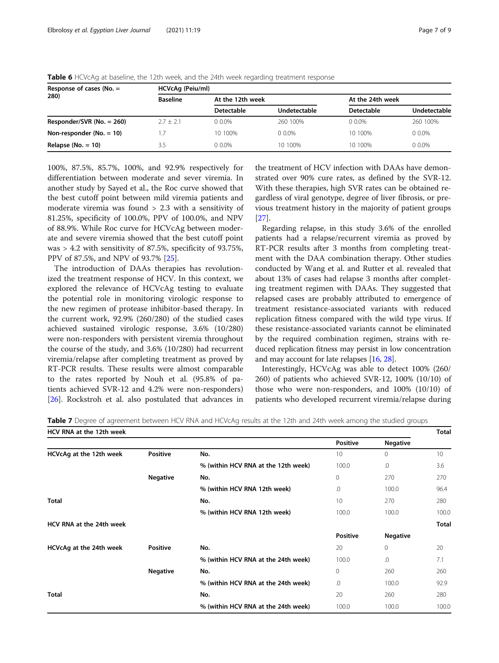| Response of cases (No. $=$   | HCVcAq (Peiu/ml) |                  |              |                  |              |  |  |  |
|------------------------------|------------------|------------------|--------------|------------------|--------------|--|--|--|
| 280)                         | <b>Baseline</b>  | At the 12th week |              | At the 24th week |              |  |  |  |
|                              |                  | Detectable       | Undetectable | Detectable       | Undetectable |  |  |  |
| Responder/SVR (No. $= 260$ ) | $2.7 + 2.1$      | $0.0\%$          | 260 100%     | $0.0\%$          | 260 100%     |  |  |  |
| Non-responder (No. $= 10$ )  | 1.7              | 10 100%          | $0.0\%$      | 10 100%          | $0.0\%$      |  |  |  |
| Relapse ( $No. = 10$ )       | 3.5              | $0.0\%$          | 10 100%      | 10 100%          | $0.0\%$      |  |  |  |

<span id="page-6-0"></span>Table 6 HCVcAg at baseline, the 12th week, and the 24th week regarding treatment response

100%, 87.5%, 85.7%, 100%, and 92.9% respectively for differentiation between moderate and sever viremia. In another study by Sayed et al., the Roc curve showed that the best cutoff point between mild viremia patients and moderate viremia was found > 2.3 with a sensitivity of 81.25%, specificity of 100.0%, PPV of 100.0%, and NPV of 88.9%. While Roc curve for HCVcAg between moderate and severe viremia showed that the best cutoff point was > 4.2 with sensitivity of 87.5%, specificity of 93.75%, PPV of 87.5%, and NPV of 93.7% [[25](#page-8-0)].

The introduction of DAAs therapies has revolutionized the treatment response of HCV. In this context, we explored the relevance of HCVcAg testing to evaluate the potential role in monitoring virologic response to the new regimen of protease inhibitor-based therapy. In the current work, 92.9% (260/280) of the studied cases achieved sustained virologic response, 3.6% (10/280) were non-responders with persistent viremia throughout the course of the study, and 3.6% (10/280) had recurrent viremia/relapse after completing treatment as proved by RT-PCR results. These results were almost comparable to the rates reported by Nouh et al. (95.8% of patients achieved SVR-12 and 4.2% were non-responders) [[26\]](#page-8-0). Rockstroh et al. also postulated that advances in

the treatment of HCV infection with DAAs have demonstrated over 90% cure rates, as defined by the SVR-12. With these therapies, high SVR rates can be obtained regardless of viral genotype, degree of liver fibrosis, or previous treatment history in the majority of patient groups [[27\]](#page-8-0).

Regarding relapse, in this study 3.6% of the enrolled patients had a relapse/recurrent viremia as proved by RT-PCR results after 3 months from completing treatment with the DAA combination therapy. Other studies conducted by Wang et al. and Rutter et al. revealed that about 13% of cases had relapse 3 months after completing treatment regimen with DAAs. They suggested that relapsed cases are probably attributed to emergence of treatment resistance-associated variants with reduced replication fitness compared with the wild type virus. If these resistance-associated variants cannot be eliminated by the required combination regimen, strains with reduced replication fitness may persist in low concentration and may account for late relapses [[16](#page-8-0), [28\]](#page-8-0).

Interestingly, HCVcAg was able to detect 100% (260/ 260) of patients who achieved SVR-12, 100% (10/10) of those who were non-responders, and 100% (10/10) of patients who developed recurrent viremia/relapse during

|  |  | Table 7 Degree of agreement between HCV RNA and HCVcAg results at the 12th and 24th week among the studied groups |  |  |  |
|--|--|-------------------------------------------------------------------------------------------------------------------|--|--|--|
|  |  |                                                                                                                   |  |  |  |

| HCV RNA at the 12th week |                 |                                     |                 |                 |              |  |
|--------------------------|-----------------|-------------------------------------|-----------------|-----------------|--------------|--|
|                          |                 |                                     | <b>Positive</b> | <b>Negative</b> |              |  |
| HCVcAg at the 12th week  | Positive        | No.                                 | 10              | $\mathbf{0}$    | 10           |  |
|                          |                 | % (within HCV RNA at the 12th week) | 100.0           | .0              | 3.6          |  |
|                          | <b>Negative</b> | No.                                 | 0               | 270             | 270          |  |
|                          |                 | % (within HCV RNA 12th week)        | .0              | 100.0           | 96.4         |  |
| <b>Total</b>             |                 | No.                                 | 10 <sup>°</sup> | 270             | 280          |  |
|                          |                 | % (within HCV RNA 12th week)        | 100.0           | 100.0           | 100.0        |  |
| HCV RNA at the 24th week |                 |                                     |                 |                 | <b>Total</b> |  |
|                          |                 |                                     | <b>Positive</b> | <b>Negative</b> |              |  |
| HCVcAg at the 24th week  | <b>Positive</b> | No.                                 | 20              | $\mathbf{0}$    | 20           |  |
|                          |                 | % (within HCV RNA at the 24th week) | 100.0           | .0              | 7.1          |  |
|                          | <b>Negative</b> | No.                                 | $\mathbf{0}$    | 260             | 260          |  |
|                          |                 | % (within HCV RNA at the 24th week) | .0              | 100.0           | 92.9         |  |
| <b>Total</b>             |                 | No.                                 | 20              | 260             | 280          |  |
|                          |                 | % (within HCV RNA at the 24th week) | 100.0           | 100.0           | 100.0        |  |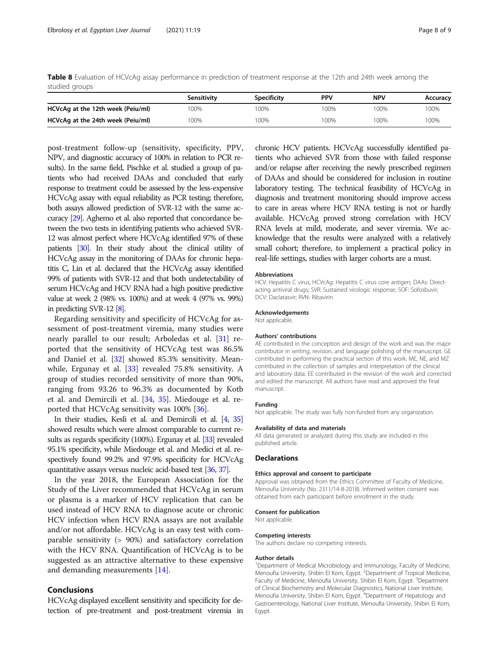<span id="page-7-0"></span>Table 8 Evaluation of HCVcAg assay performance in prediction of treatment response at the 12th and 24th week among the studied groups

|                                   | Sensitivity | <b>Specificity</b> | <b>PPV</b> | <b>NPV</b> | Accuracy |
|-----------------------------------|-------------|--------------------|------------|------------|----------|
| HCVcAg at the 12th week (Peiu/ml) | 00%         | 00%                | 100%       | 100%       | 100%     |
| HCVcAg at the 24th week (Peiu/ml) | 00%         | 100%               | 100%       | 100%       | 100%     |

post-treatment follow-up (sensitivity, specificity, PPV, NPV, and diagnostic accuracy of 100% in relation to PCR results). In the same field, Pischke et al. studied a group of patients who had received DAAs and concluded that early response to treatment could be assessed by the less-expensive HCVcAg assay with equal reliability as PCR testing; therefore, both assays allowed prediction of SVR-12 with the same accuracy [[29\]](#page-8-0). Aghemo et al. also reported that concordance between the two tests in identifying patients who achieved SVR-12 was almost perfect where HCVcAg identified 97% of these patients [\[30\]](#page-8-0). In their study about the clinical utility of HCVcAg assay in the monitoring of DAAs for chronic hepatitis C, Lin et al. declared that the HCVcAg assay identified 99% of patients with SVR-12 and that both undetectability of serum HCVcAg and HCV RNA had a high positive predictive value at week 2 (98% vs. 100%) and at week 4 (97% vs. 99%) in predicting SVR-12 [\[8](#page-8-0)].

Regarding sensitivity and specificity of HCVcAg for assessment of post-treatment viremia, many studies were nearly parallel to our result; Arboledas et al. [[31\]](#page-8-0) reported that the sensitivity of HCVcAg test was 86.5% and Daniel et al. [[32\]](#page-8-0) showed 85.3% sensitivity. Meanwhile, Ergunay et al. [\[33](#page-8-0)] revealed 75.8% sensitivity. A group of studies recorded sensitivity of more than 90%, ranging from 93.26 to 96.3% as documented by Kotb et al. and Demircili et al. [\[34](#page-8-0), [35\]](#page-8-0). Miedouge et al. reported that HCVcAg sensitivity was 100% [\[36](#page-8-0)].

In their studies, Kesli et al. and Demircili et al. [\[4,](#page-8-0) [35](#page-8-0)] showed results which were almost comparable to current re-sults as regards specificity (100%). Ergunay et al. [\[33\]](#page-8-0) revealed 95.1% specificity, while Miedouge et al. and Medici et al. respectively found 99.2% and 97.9% specificity for HCVcAg quantitative assays versus nucleic acid-based test [\[36,](#page-8-0) [37](#page-8-0)].

In the year 2018, the European Association for the Study of the Liver recommended that HCVcAg in serum or plasma is a marker of HCV replication that can be used instead of HCV RNA to diagnose acute or chronic HCV infection when HCV RNA assays are not available and/or not affordable. HCVcAg is an easy test with comparable sensitivity (> 90%) and satisfactory correlation with the HCV RNA. Quantification of HCVcAg is to be suggested as an attractive alternative to these expensive and demanding measurements [\[14](#page-8-0)].

## Conclusions

HCVcAg displayed excellent sensitivity and specificity for detection of pre-treatment and post-treatment viremia in chronic HCV patients. HCVcAg successfully identified patients who achieved SVR from those with failed response and/or relapse after receiving the newly prescribed regimen of DAAs and should be considered for inclusion in routine laboratory testing. The technical feasibility of HCVcAg in diagnosis and treatment monitoring should improve access to care in areas where HCV RNA testing is not or hardly available. HCVcAg proved strong correlation with HCV RNA levels at mild, moderate, and sever viremia. We acknowledge that the results were analyzed with a relatively small cohort; therefore, to implement a practical policy in real-life settings, studies with larger cohorts are a must.

#### Abbreviations

HCV: Hepatitis C virus; HCVcAg: Hepatitis C virus core antigen; DAAs: Directacting antiviral drugs; SVR: Sustained virologic response; SOF: Sofosbuvir; DCV: Daclatasvir; RVN: Ribavirin

#### Acknowledgements

Not applicable.

#### Authors' contributions

AE contributed in the conception and design of the work and was the major contributor in writing, revision, and language polishing of the manuscript. GE contributed in performing the practical section of this work. ME, NE, and MZ contributed in the collection of samples and interpretation of the clinical and laboratory data. EE contributed in the revision of the work and corrected and edited the manuscript. All authors have read and approved the final manuscript.

#### Funding

Not applicable. The study was fully non-funded from any organization.

#### Availability of data and materials

All data generated or analyzed during this study are included in this published article.

#### **Declarations**

#### Ethics approval and consent to participate

Approval was obtained from the Ethics Committee of Faculty of Medicine, Menoufia University (No. 2311/14-8-2018). Informed written consent was obtained from each participant before enrollment in the study.

#### Consent for publication

Not applicable.

## Competing interests

The authors declare no competing interests.

#### Author details

<sup>1</sup>Department of Medical Microbiology and Immunology, Faculty of Medicine, Menoufia University, Shibin El Kom, Egypt. <sup>2</sup>Department of Tropical Medicine Faculty of Medicine, Menoufia University, Shibin El Kom, Egypt. <sup>3</sup>Department of Clinical Biochemistry and Molecular Diagnostics, National Liver Institute, Menoufia University, Shibin El Kom, Egypt. <sup>4</sup>Department of Hepatology and Gastroenterology, National Liver Institute, Menoufia University, Shibin El Kom, Egypt.